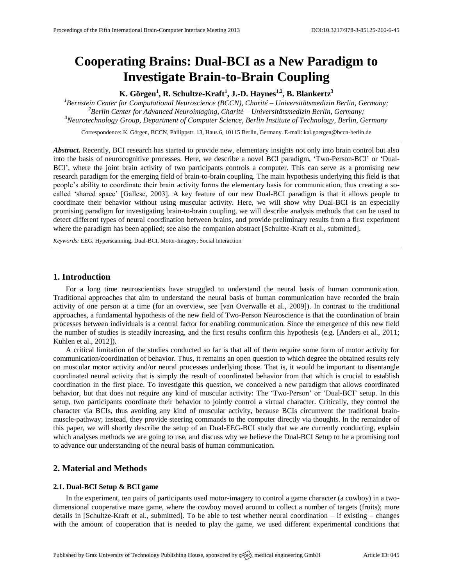# **Cooperating Brains: Dual-BCI as a New Paradigm to Investigate Brain-to-Brain Coupling**

**K. Görgen<sup>1</sup> , R. Schultze-Kraft<sup>1</sup> , J.-D. Haynes1,2, B. Blankertz<sup>3</sup>**

*<sup>1</sup>Bernstein Center for Computational Neuroscience (BCCN), Charité – Universitätsmedizin Berlin, Germany; <sup>2</sup>Berlin Center for Advanced Neuroimaging, Charité – Universitätsmedizin Berlin, Germany; <sup>3</sup>Neurotechnology Group, Department of Computer Science, Berlin Institute of Technology, Berlin, Germany*

Correspondence: K. Görgen, BCCN, Philippstr. 13, Haus 6, 10115 Berlin, Germany. E-mail: [kai.goergen@bccn-berlin.de](mailto:kai.goergen@bccn-berlin.de)

*Abstract.* Recently, BCI research has started to provide new, elementary insights not only into brain control but also into the basis of neurocognitive processes. Here, we describe a novel BCI paradigm, 'Two-Person-BCI' or 'Dual-BCI', where the joint brain activity of two participants controls a computer. This can serve as a promising new research paradigm for the emerging field of brain-to-brain coupling. The main hypothesis underlying this field is that people's ability to coordinate their brain activity forms the elementary basis for communication, thus creating a socalled 'shared space' [Gallese, 2003]. A key feature of our new Dual-BCI paradigm is that it allows people to coordinate their behavior without using muscular activity. Here, we will show why Dual-BCI is an especially promising paradigm for investigating brain-to-brain coupling, we will describe analysis methods that can be used to detect different types of neural coordination between brains, and provide preliminary results from a first experiment where the paradigm has been applied; see also the companion abstract [Schultze-Kraft et al., submitted].

*Keywords:* EEG, Hyperscanning, Dual-BCI, Motor-Imagery, Social Interaction

#### **1. Introduction**

For a long time neuroscientists have struggled to understand the neural basis of human communication. Traditional approaches that aim to understand the neural basis of human communication have recorded the brain activity of one person at a time (for an overview, see [van Overwalle et al., 2009]). In contrast to the traditional approaches, a fundamental hypothesis of the new field of Two-Person Neuroscience is that the coordination of brain processes between individuals is a central factor for enabling communication. Since the emergence of this new field the number of studies is steadily increasing, and the first results confirm this hypothesis (e.g. [Anders et al., 2011; Kuhlen et al., 2012]).

A critical limitation of the studies conducted so far is that all of them require some form of motor activity for communication/coordination of behavior. Thus, it remains an open question to which degree the obtained results rely on muscular motor activity and/or neural processes underlying those. That is, it would be important to disentangle coordinated neural activity that is simply the result of coordinated behavior from that which is crucial to establish coordination in the first place. To investigate this question, we conceived a new paradigm that allows coordinated behavior, but that does not require any kind of muscular activity: The 'Two-Person' or 'Dual-BCI' setup. In this setup, two participants coordinate their behavior to jointly control a virtual character. Critically, they control the character via BCIs, thus avoiding any kind of muscular activity, because BCIs circumvent the traditional brainmuscle-pathway; instead, they provide steering commands to the computer directly via thoughts. In the remainder of this paper, we will shortly describe the setup of an Dual-EEG-BCI study that we are currently conducting, explain which analyses methods we are going to use, and discuss why we believe the Dual-BCI Setup to be a promising tool to advance our understanding of the neural basis of human communication.

# **2. Material and Methods**

#### **2.1. Dual-BCI Setup & BCI game**

In the experiment, ten pairs of participants used motor-imagery to control a game character (a cowboy) in a twodimensional cooperative maze game, where the cowboy moved around to collect a number of targets (fruits); more details in [Schultze-Kraft et al., submitted]. To be able to test whether neural coordination – if existing – changes with the amount of cooperation that is needed to play the game, we used different experimental conditions that